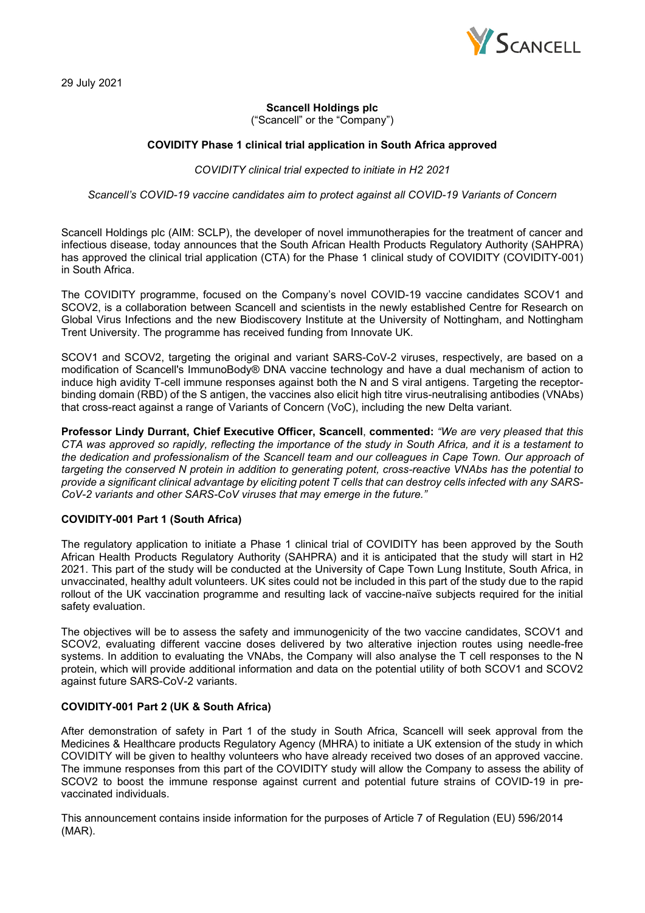

29 July 2021

## **Scancell Holdings plc**

("Scancell" or the "Company")

### **COVIDITY Phase 1 clinical trial application in South Africa approved**

*COVIDITY clinical trial expected to initiate in H2 2021*

*Scancell's COVID-19 vaccine candidates aim to protect against all COVID-19 Variants of Concern*

Scancell Holdings plc (AIM: SCLP), the developer of novel immunotherapies for the treatment of cancer and infectious disease, today announces that the South African Health Products Regulatory Authority (SAHPRA) has approved the clinical trial application (CTA) for the Phase 1 clinical study of COVIDITY (COVIDITY-001) in South Africa.

The COVIDITY programme, focused on the Company's novel COVID-19 vaccine candidates SCOV1 and SCOV2, is a collaboration between Scancell and scientists in the newly established Centre for Research on Global Virus Infections and the new Biodiscovery Institute at the University of Nottingham, and Nottingham Trent University. The programme has received funding from Innovate UK.

SCOV1 and SCOV2, targeting the original and variant SARS-CoV-2 viruses, respectively, are based on a modification of Scancell's ImmunoBody® DNA vaccine technology and have a dual mechanism of action to induce high avidity T-cell immune responses against both the N and S viral antigens. Targeting the receptorbinding domain (RBD) of the S antigen, the vaccines also elicit high titre virus-neutralising antibodies (VNAbs) that cross-react against a range of Variants of Concern (VoC), including the new Delta variant.

**Professor Lindy Durrant, Chief Executive Officer, Scancell**, **commented:** *"We are very pleased that this CTA was approved so rapidly, reflecting the importance of the study in South Africa, and it is a testament to the dedication and professionalism of the Scancell team and our colleagues in Cape Town. Our approach of targeting the conserved N protein in addition to generating potent, cross-reactive VNAbs has the potential to provide a significant clinical advantage by eliciting potent T cells that can destroy cells infected with any SARS-CoV-2 variants and other SARS-CoV viruses that may emerge in the future."*

## **COVIDITY-001 Part 1 (South Africa)**

The regulatory application to initiate a Phase 1 clinical trial of COVIDITY has been approved by the South African Health Products Regulatory Authority (SAHPRA) and it is anticipated that the study will start in H2 2021. This part of the study will be conducted at the University of Cape Town Lung Institute, South Africa, in unvaccinated, healthy adult volunteers. UK sites could not be included in this part of the study due to the rapid rollout of the UK vaccination programme and resulting lack of vaccine-naïve subjects required for the initial safety evaluation.

The objectives will be to assess the safety and immunogenicity of the two vaccine candidates, SCOV1 and SCOV2, evaluating different vaccine doses delivered by two alterative injection routes using needle-free systems. In addition to evaluating the VNAbs, the Company will also analyse the T cell responses to the N protein, which will provide additional information and data on the potential utility of both SCOV1 and SCOV2 against future SARS-CoV-2 variants.

# **COVIDITY-001 Part 2 (UK & South Africa)**

After demonstration of safety in Part 1 of the study in South Africa, Scancell will seek approval from the Medicines & Healthcare products Regulatory Agency (MHRA) to initiate a UK extension of the study in which COVIDITY will be given to healthy volunteers who have already received two doses of an approved vaccine. The immune responses from this part of the COVIDITY study will allow the Company to assess the ability of SCOV2 to boost the immune response against current and potential future strains of COVID-19 in prevaccinated individuals.

This announcement contains inside information for the purposes of Article 7 of Regulation (EU) 596/2014 (MAR).